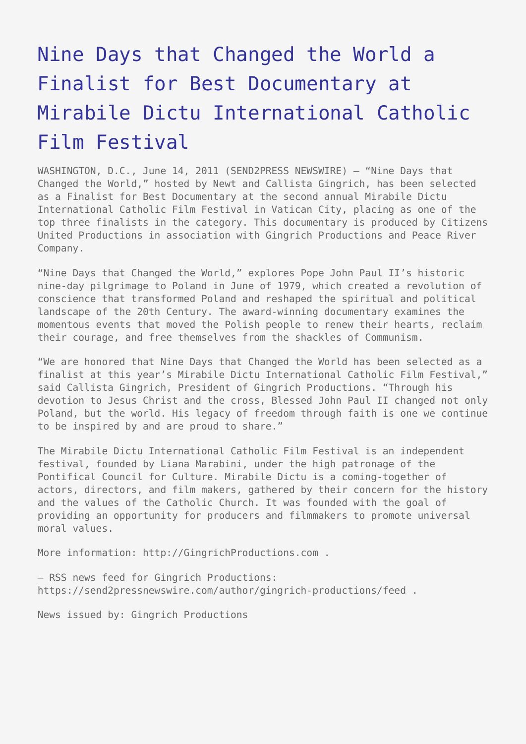## [Nine Days that Changed the World a](https://www.send2press.com/wire/2011-06-0614-006-mirabile-dictu/) [Finalist for Best Documentary at](https://www.send2press.com/wire/2011-06-0614-006-mirabile-dictu/) [Mirabile Dictu International Catholic](https://www.send2press.com/wire/2011-06-0614-006-mirabile-dictu/) [Film Festival](https://www.send2press.com/wire/2011-06-0614-006-mirabile-dictu/)

WASHINGTON, D.C., June 14, 2011 (SEND2PRESS NEWSWIRE) — "Nine Days that Changed the World," hosted by Newt and Callista Gingrich, has been selected as a Finalist for Best Documentary at the second annual Mirabile Dictu International Catholic Film Festival in Vatican City, placing as one of the top three finalists in the category. This documentary is produced by Citizens United Productions in association with Gingrich Productions and Peace River Company.

"Nine Days that Changed the World," explores Pope John Paul II's historic nine-day pilgrimage to Poland in June of 1979, which created a revolution of conscience that transformed Poland and reshaped the spiritual and political landscape of the 20th Century. The award-winning documentary examines the momentous events that moved the Polish people to renew their hearts, reclaim their courage, and free themselves from the shackles of Communism.

"We are honored that Nine Days that Changed the World has been selected as a finalist at this year's Mirabile Dictu International Catholic Film Festival," said Callista Gingrich, President of Gingrich Productions. "Through his devotion to Jesus Christ and the cross, Blessed John Paul II changed not only Poland, but the world. His legacy of freedom through faith is one we continue to be inspired by and are proud to share."

The Mirabile Dictu International Catholic Film Festival is an independent festival, founded by Liana Marabini, under the high patronage of the Pontifical Council for Culture. Mirabile Dictu is a coming-together of actors, directors, and film makers, gathered by their concern for the history and the values of the Catholic Church. It was founded with the goal of providing an opportunity for producers and filmmakers to promote universal moral values.

More information: http://GingrichProductions.com .

– RSS news feed for Gingrich Productions: https://send2pressnewswire.com/author/gingrich-productions/feed .

News issued by: Gingrich Productions